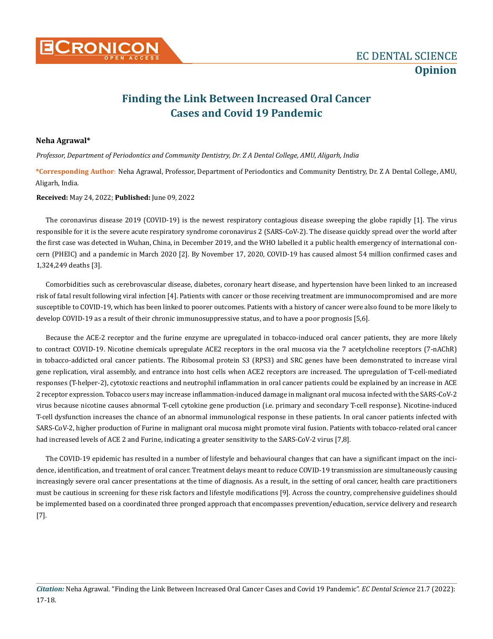

## **Finding the Link Between Increased Oral Cancer Cases and Covid 19 Pandemic**

## **Neha Agrawal\***

*Professor, Department of Periodontics and Community Dentistry, Dr. Z A Dental College, AMU, Aligarh, India*

**\*Corresponding Author**: Neha Agrawal, Professor, Department of Periodontics and Community Dentistry, Dr. Z A Dental College, AMU, Aligarh, India.

## **Received:** May 24, 2022; **Published:** June 09, 2022

The coronavirus disease 2019 (COVID-19) is the newest respiratory contagious disease sweeping the globe rapidly [1]. The virus responsible for it is the severe acute respiratory syndrome coronavirus 2 (SARS-CoV-2). The disease quickly spread over the world after the first case was detected in Wuhan, China, in December 2019, and the WHO labelled it a public health emergency of international concern (PHEIC) and a pandemic in March 2020 [2]. By November 17, 2020, COVID-19 has caused almost 54 million confirmed cases and 1,324,249 deaths [3].

Comorbidities such as cerebrovascular disease, diabetes, coronary heart disease, and hypertension have been linked to an increased risk of fatal result following viral infection [4]. Patients with cancer or those receiving treatment are immunocompromised and are more susceptible to COVID-19, which has been linked to poorer outcomes. Patients with a history of cancer were also found to be more likely to develop COVID-19 as a result of their chronic immunosuppressive status, and to have a poor prognosis [5,6].

Because the ACE-2 receptor and the furine enzyme are upregulated in tobacco-induced oral cancer patients, they are more likely to contract COVID-19. Nicotine chemicals upregulate ACE2 receptors in the oral mucosa via the 7 acetylcholine receptors (7-nAChR) in tobacco-addicted oral cancer patients. The Ribosomal protein S3 (RPS3) and SRC genes have been demonstrated to increase viral gene replication, viral assembly, and entrance into host cells when ACE2 receptors are increased. The upregulation of T-cell-mediated responses (T-helper-2), cytotoxic reactions and neutrophil inflammation in oral cancer patients could be explained by an increase in ACE 2 receptor expression. Tobacco users may increase inflammation-induced damage in malignant oral mucosa infected with the SARS-CoV-2 virus because nicotine causes abnormal T-cell cytokine gene production (i.e. primary and secondary T-cell response). Nicotine-induced T-cell dysfunction increases the chance of an abnormal immunological response in these patients. In oral cancer patients infected with SARS-CoV-2, higher production of Furine in malignant oral mucosa might promote viral fusion. Patients with tobacco-related oral cancer had increased levels of ACE 2 and Furine, indicating a greater sensitivity to the SARS-CoV-2 virus [7,8].

The COVID-19 epidemic has resulted in a number of lifestyle and behavioural changes that can have a significant impact on the incidence, identification, and treatment of oral cancer. Treatment delays meant to reduce COVID-19 transmission are simultaneously causing increasingly severe oral cancer presentations at the time of diagnosis. As a result, in the setting of oral cancer, health care practitioners must be cautious in screening for these risk factors and lifestyle modifications [9]. Across the country, comprehensive guidelines should be implemented based on a coordinated three pronged approach that encompasses prevention/education, service delivery and research [7].